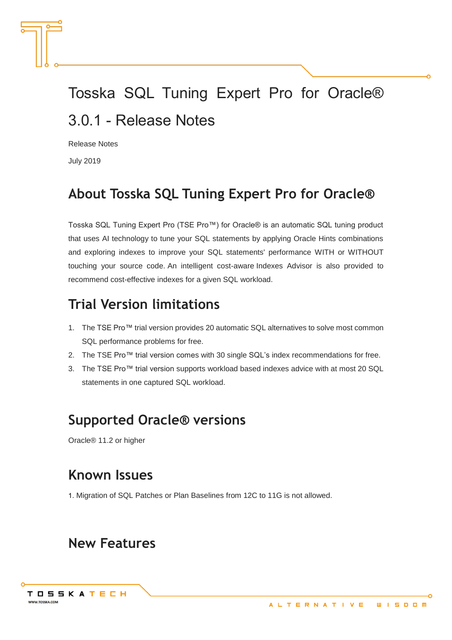# Tosska SQL Tuning Expert Pro for Oracle® 3.0.1 - Release Notes

Release Notes

July 2019

## **About Tosska SQL Tuning Expert Pro for Oracle®**

Tosska SQL Tuning Expert Pro (TSE Pro™) for Oracle® is an automatic SQL tuning product that uses AI technology to tune your SQL statements by applying Oracle Hints combinations and exploring indexes to improve your SQL statements' performance WITH or WITHOUT touching your source code. An intelligent cost-aware Indexes Advisor is also provided to recommend cost-effective indexes for a given SQL workload.

## **Trial Version limitations**

- 1. The TSE Pro™ trial version provides 20 automatic SQL alternatives to solve most common SQL performance problems for free.
- 2. The TSE Pro™ trial version comes with 30 single SQL's index recommendations for free.
- 3. The TSE Pro™ trial version supports workload based indexes advice with at most 20 SQL statements in one captured SQL workload.

## **Supported Oracle® versions**

Oracle® 11.2 or higher

## **Known Issues**

1. Migration of SQL Patches or Plan Baselines from 12C to 11G is not allowed.

## **New Features**

TOSSKATECH

**WWW.TOSSKA.CON**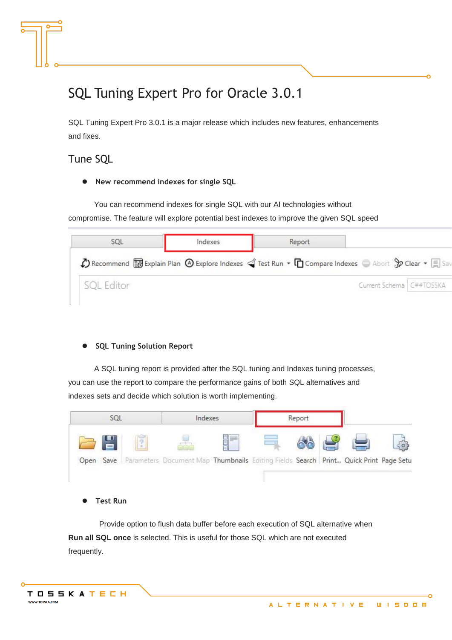## SQL Tuning Expert Pro for Oracle 3.0.1

SQL Tuning Expert Pro 3.0.1 is a major release which includes new features, enhancements and fixes.

### Tune SQL

⚫ **New recommend indexes for single SQL**

You can recommend indexes for single SQL with our AI technologies without compromise. The feature will explore potential best indexes to improve the given SQL speed

|                   | Indexes                                                                                                                                                                                 | Report |                            |  |
|-------------------|-----------------------------------------------------------------------------------------------------------------------------------------------------------------------------------------|--------|----------------------------|--|
|                   | $\bigcirc$ ) Recommend $\boxdot$ Explain Plan $\bigcirc$ Explore Indexes $\triangleleft$ Test Run $\cdot$ In Compare Indexes $\bigcirc$ Abort $\mathcal{G}$ Clear $\cdot$ $\boxdot$ Sav |        |                            |  |
| <b>SQL</b> Editor |                                                                                                                                                                                         |        | Current Schema   C##TOSSKA |  |

#### ⚫ **SQL Tuning Solution Report**

A SQL tuning report is provided after the SQL tuning and Indexes tuning processes, you can use the report to compare the performance gains of both SQL alternatives and indexes sets and decide which solution is worth implementing.



⚫ **Test Run**

 Provide option to flush data buffer before each execution of SQL alternative when **Run all SQL once** is selected. This is useful for those SQL which are not executed frequently.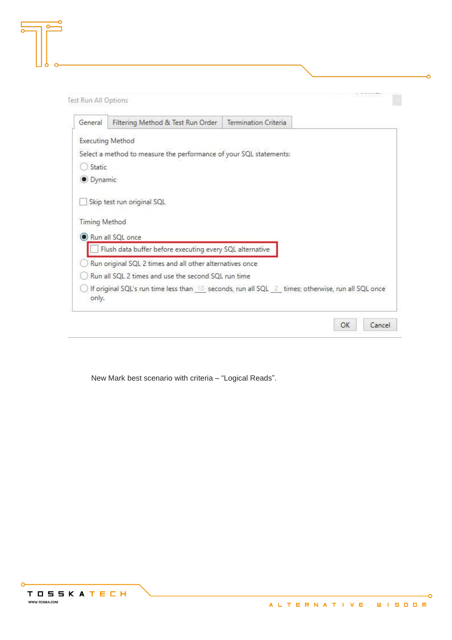| General              | Filtering Method & Test Run Order                                                                 | Termination Criteria |  |
|----------------------|---------------------------------------------------------------------------------------------------|----------------------|--|
|                      | <b>Executing Method</b>                                                                           |                      |  |
|                      | Select a method to measure the performance of your SQL statements:                                |                      |  |
| Static               |                                                                                                   |                      |  |
| O Dynamic            |                                                                                                   |                      |  |
| <b>Timing Method</b> | Run all SQL once                                                                                  |                      |  |
|                      | Flush data buffer before executing every SQL alternative                                          |                      |  |
|                      | Run original SQL 2 times and all other alternatives once                                          |                      |  |
|                      | Run all SQL 2 times and use the second SQL run time                                               |                      |  |
| only.                | If original SQL's run time less than 10 seconds, run all SQL 2 times; otherwise, run all SQL once |                      |  |

New Mark best scenario with criteria – "Logical Reads".



-o

-O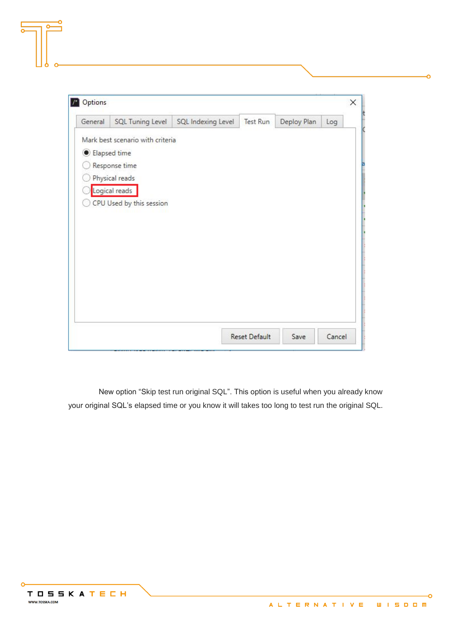| General      | <b>SQL Tuning Level</b>          | SQL Indexing Level | Test Run | Deploy Plan | Log |
|--------------|----------------------------------|--------------------|----------|-------------|-----|
|              | Mark best scenario with criteria |                    |          |             |     |
| Elapsed time |                                  |                    |          |             |     |
|              | Response time                    |                    |          |             |     |
|              | Physical reads                   |                    |          |             |     |
|              | Logical reads                    |                    |          |             |     |
|              | CPU Used by this session         |                    |          |             |     |
|              |                                  |                    |          |             |     |
|              |                                  |                    |          |             |     |
|              |                                  |                    |          |             |     |
|              |                                  |                    |          |             |     |
|              |                                  |                    |          |             |     |
|              |                                  |                    |          |             |     |
|              |                                  |                    |          |             |     |
|              |                                  |                    |          |             |     |
|              |                                  |                    |          |             |     |
|              |                                  |                    |          |             |     |

 New option "Skip test run original SQL". This option is useful when you already know your original SQL's elapsed time or you know it will takes too long to test run the original SQL.

Ő

Ō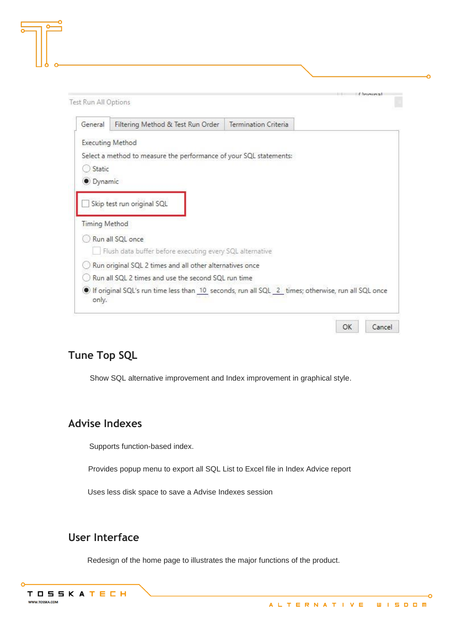| General              | Filtering Method & Test Run Order                                                                 | Termination Criteria |  |
|----------------------|---------------------------------------------------------------------------------------------------|----------------------|--|
|                      | <b>Executing Method</b>                                                                           |                      |  |
|                      | Select a method to measure the performance of your SQL statements:                                |                      |  |
| Static               |                                                                                                   |                      |  |
| · Dynamic            |                                                                                                   |                      |  |
| <b>Timing Method</b> |                                                                                                   |                      |  |
|                      | Run all SQL once                                                                                  |                      |  |
|                      | Flush data buffer before executing every SQL alternative                                          |                      |  |
|                      | Run original SQL 2 times and all other alternatives once                                          |                      |  |
|                      | Run all SQL 2 times and use the second SQL run time                                               |                      |  |
| only.                | If original SQL's run time less than 10 seconds, run all SQL 2 times; otherwise, run all SQL once |                      |  |

### **Tune Top SQL**

Show SQL alternative improvement and Index improvement in graphical style.

### **Advise Indexes**

Supports function-based index.

Provides popup menu to export all SQL List to Excel file in Index Advice report

Uses less disk space to save a Advise Indexes session

### **User Interface**

Redesign of the home page to illustrates the major functions of the product.

۰Ó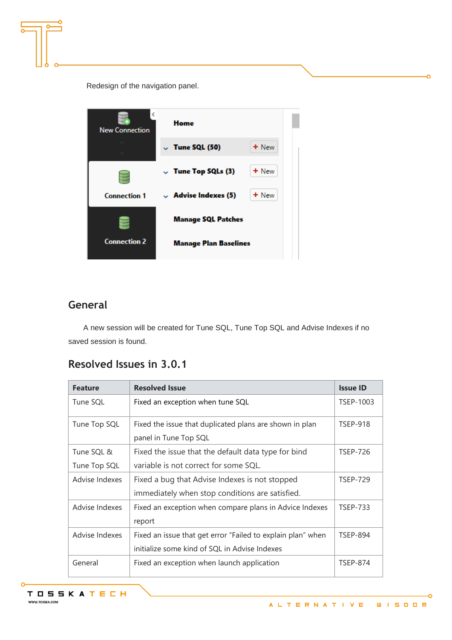Redesign of the navigation panel.



### **General**

A new session will be created for Tune SQL, Tune Top SQL and Advise Indexes if no saved session is found.

### **Resolved Issues in 3.0.1**

| <b>Feature</b> | <b>Resolved Issue</b>                                       | <b>Issue ID</b> |
|----------------|-------------------------------------------------------------|-----------------|
| Tune SQL       | Fixed an exception when tune SQL                            | TSEP-1003       |
| Tune Top SQL   | Fixed the issue that duplicated plans are shown in plan     | <b>TSEP-918</b> |
|                | panel in Tune Top SQL                                       |                 |
| Tune SQL &     | Fixed the issue that the default data type for bind         | <b>TSEP-726</b> |
| Tune Top SQL   | variable is not correct for some SQL.                       |                 |
| Advise Indexes | Fixed a bug that Advise Indexes is not stopped              | <b>TSEP-729</b> |
|                | immediately when stop conditions are satisfied.             |                 |
| Advise Indexes | Fixed an exception when compare plans in Advice Indexes     | <b>TSEP-733</b> |
|                | report                                                      |                 |
| Advise Indexes | Fixed an issue that get error "Failed to explain plan" when | <b>TSEP-894</b> |
|                | initialize some kind of SQL in Advise Indexes               |                 |
| General        | Fixed an exception when launch application                  | <b>TSEP-874</b> |

۰Ó

Ó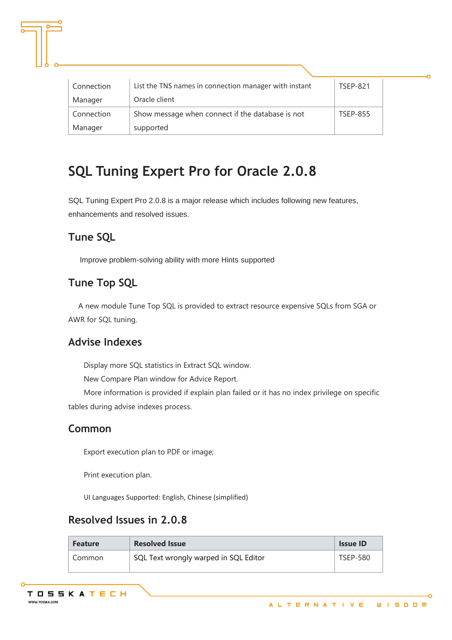| Connection | List the TNS names in connection manager with instant | <b>TSEP-821</b> |
|------------|-------------------------------------------------------|-----------------|
| Manager    | Oracle client                                         |                 |
| Connection | Show message when connect if the database is not      | <b>TSEP-855</b> |
| Manager    | supported                                             |                 |

## **SQL Tuning Expert Pro for Oracle 2.0.8**

SQL Tuning Expert Pro 2.0.8 is a major release which includes following new features, enhancements and resolved issues.

## **Tune SQL**

Improve problem-solving ability with more Hints supported

## **Tune Top SQL**

A new module Tune Top SQL is provided to extract resource expensive SQLs from SGA or AWR for SQL tuning.

### **Advise Indexes**

Display more SQL statistics in Extract SQL window.

New Compare Plan window for Advice Report.

More information is provided if explain plan failed or it has no index privilege on specific tables during advise indexes process.

#### **Common**

Export execution plan to PDF or image;

Print execution plan.

UI Languages Supported: English, Chinese (simplified)

### **Resolved Issues in 2.0.8**

| <b>Feature</b> | <b>Resolved Issue</b>                 | <b>Issue ID</b> |
|----------------|---------------------------------------|-----------------|
| Common         | SQL Text wrongly warped in SQL Editor | <b>TSEP-580</b> |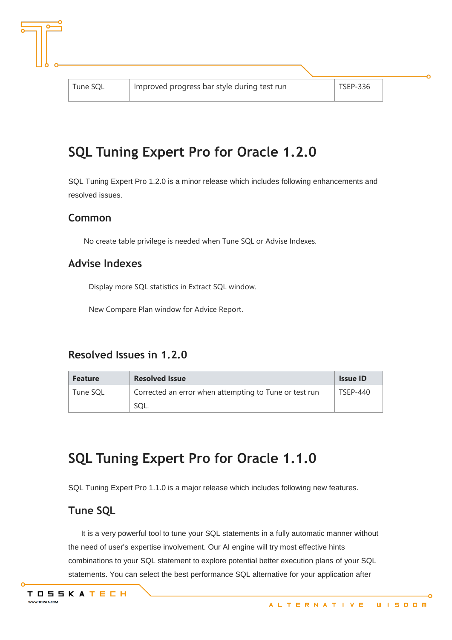## **SQL Tuning Expert Pro for Oracle 1.2.0**

SQL Tuning Expert Pro 1.2.0 is a minor release which includes following enhancements and resolved issues.

#### **Common**

No create table privilege is needed when Tune SQL or Advise Indexes.

#### **Advise Indexes**

Display more SQL statistics in Extract SQL window.

New Compare Plan window for Advice Report.

#### **Resolved Issues in 1.2.0**

| <b>Feature</b> | <b>Resolved Issue</b>                                  | <b>Issue ID</b> |
|----------------|--------------------------------------------------------|-----------------|
| Tune SOL       | Corrected an error when attempting to Tune or test run | <b>TSFP-440</b> |
|                |                                                        |                 |

## **SQL Tuning Expert Pro for Oracle 1.1.0**

SQL Tuning Expert Pro 1.1.0 is a major release which includes following new features.

#### **Tune SQL**

It is a very powerful tool to tune your SQL statements in a fully automatic manner without the need of user's expertise involvement. Our AI engine will try most effective hints combinations to your SQL statement to explore potential better execution plans of your SQL statements. You can select the best performance SQL alternative for your application after